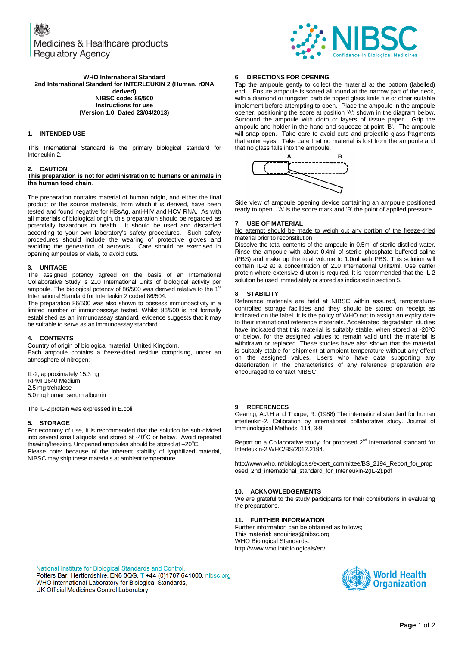Medicines & Healthcare products **Regulatory Agency** 



#### **WHO International Standard 2nd International Standard for INTERLEUKIN 2 (Human, rDNA derived) NIBSC code: 86/500 Instructions for use (Version 1.0, Dated 23/04/2013)**

# **1. INTENDED USE**

This International Standard is the primary biological standard for Interleukin-2.

#### **2. CAUTION**

#### **This preparation is not for administration to humans or animals in the human food chain**.

The preparation contains material of human origin, and either the final product or the source materials, from which it is derived, have been tested and found negative for HBsAg, anti-HIV and HCV RNA. As with all materials of biological origin, this preparation should be regarded as potentially hazardous to health. It should be used and discarded according to your own laboratory's safety procedures. Such safety procedures should include the wearing of protective gloves and avoiding the generation of aerosols. Care should be exercised in opening ampoules or vials, to avoid cuts.

## **3. UNITAGE**

The assigned potency agreed on the basis of an International Collaborative Study is 210 International Units of biological activity per ampoule. The biological potency of 86/500 was derived relative to the 1st International Standard for Interleukin 2 coded 86/504.

The preparation 86/500 was also shown to possess immunoactivity in a limited number of immunoassays tested. Whilst 86/500 is not formally established as an immunoassay standard, evidence suggests that it may be suitable to serve as an immunoassay standard.

# **4. CONTENTS**

Country of origin of biological material: United Kingdom. Each ampoule contains a freeze-dried residue comprising, under an atmosphere of nitrogen:

IL-2, approximately 15.3 ng RPMI 1640 Medium 2.5 mg trehalose 5.0 mg human serum albumin

The IL-2 protein was expressed in E.coli

# **5. STORAGE**

For economy of use, it is recommended that the solution be sub-divided into several small aliquots and stored at -40°C or below. Avoid repeated thawing/freezing. Unopened ampoules should be stored at  $-20^{\circ}$ C. Please note: because of the inherent stability of lyophilized material, NIBSC may ship these materials at ambient temperature.

#### **6. DIRECTIONS FOR OPENING**

Tap the ampoule gently to collect the material at the bottom (labelled) end. Ensure ampoule is scored all round at the narrow part of the neck, with a diamond or tungsten carbide tipped glass knife file or other suitable implement before attempting to open. Place the ampoule in the ampoule opener, positioning the score at position 'A'; shown in the diagram below. Surround the ampoule with cloth or layers of tissue paper. Grip the ampoule and holder in the hand and squeeze at point 'B'. The ampoule will snap open. Take care to avoid cuts and projectile glass fragments that enter eyes. Take care that no material is lost from the ampoule and that no glass falls into the ampoule.



Side view of ampoule opening device containing an ampoule positioned ready to open. 'A' is the score mark and 'B' the point of applied pressure.

#### **7. USE OF MATERIAL**

No attempt should be made to weigh out any portion of the freeze-dried material prior to reconstitution

Dissolve the total contents of the ampoule in 0.5ml of sterile distilled water. Rinse the ampoule with about 0.4ml of sterile phosphate buffered saline (PBS) and make up the total volume to 1.0ml with PBS. This solution will contain IL-2 at a concentration of 210 International Units/ml. Use carrier protein where extensive dilution is required. It is recommended that the IL-2 solution be used immediately or stored as indicated in section 5.

#### **8. STABILITY**

Reference materials are held at NIBSC within assured, temperaturecontrolled storage facilities and they should be stored on receipt as indicated on the label. It is the policy of WHO not to assign an expiry date to their international reference materials. Accelerated degradation studies have indicated that this material is suitably stable, when stored at -20ºC or below, for the assigned values to remain valid until the material is withdrawn or replaced. These studies have also shown that the material is suitably stable for shipment at ambient temperature without any effect on the assigned values. Users who have data supporting any deterioration in the characteristics of any reference preparation are encouraged to contact NIBSC.

#### **9. REFERENCES**

Gearing, A.J.H and Thorpe, R. (1988) The international standard for human interleukin-2. Calibration by international collaborative study. Journal of Immunological Methods, 114, 3-9.

Report on a Collaborative study for proposed  $2<sup>nd</sup>$  International standard for Interleukin-2 WHO/BS/2012.2194.

http://www.who.int/biologicals/expert\_committee/BS\_2194\_Report\_for\_prop osed\_2nd\_international\_standard\_for\_Interleukin-2(IL-2).pdf

# **10. ACKNOWLEDGEMENTS**

We are grateful to the study participants for their contributions in evaluating the preparations.

# **11. FURTHER INFORMATION**

Further information can be obtained as follows; This material[: enquiries@nibsc.org](mailto:enquiries@nibsc.org) WHO Biological Standards: <http://www.who.int/biologicals/en/>

National Institute for Biological Standards and Control, Potters Bar, Hertfordshire, EN6 3QG. T +44 (0)1707 641000, nibsc.org WHO International Laboratory for Biological Standards, UK Official Medicines Control Laboratory